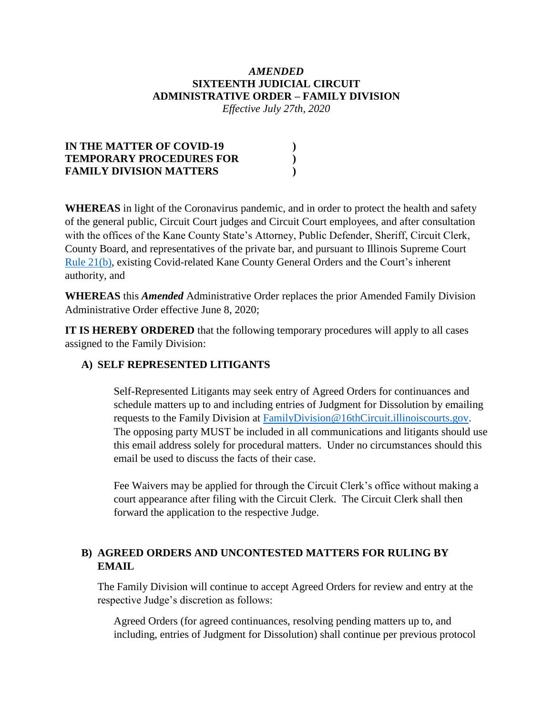### *AMENDED* **SIXTEENTH JUDICIAL CIRCUIT ADMINISTRATIVE ORDER – FAMILY DIVISION**

*Effective July 27th, 2020*

| IN THE MATTER OF COVID-19       |  |
|---------------------------------|--|
| <b>TEMPORARY PROCEDURES FOR</b> |  |
| <b>FAMILY DIVISION MATTERS</b>  |  |

**WHEREAS** in light of the Coronavirus pandemic, and in order to protect the health and safety of the general public, Circuit Court judges and Circuit Court employees, and after consultation with the offices of the Kane County State's Attorney, Public Defender, Sheriff, Circuit Clerk, County Board, and representatives of the private bar, and pursuant to Illinois Supreme Court [Rule 21\(b\),](http://www.illinoiscourts.gov/supremecourt/Rules/Art_I/ArtI.htm#21) existing Covid-related Kane County General Orders and the Court's inherent authority, and

**WHEREAS** this *Amended* Administrative Order replaces the prior Amended Family Division Administrative Order effective June 8, 2020;

**IT IS HEREBY ORDERED** that the following temporary procedures will apply to all cases assigned to the Family Division:

### **A) SELF REPRESENTED LITIGANTS**

Self-Represented Litigants may seek entry of Agreed Orders for continuances and schedule matters up to and including entries of Judgment for Dissolution by emailing requests to the Family Division at [FamilyDivision@16thCircuit.illinoiscourts.gov.](mailto:FamilyDivision@16thCircuit.illinoiscourts.gov) The opposing party MUST be included in all communications and litigants should use this email address solely for procedural matters. Under no circumstances should this email be used to discuss the facts of their case.

Fee Waivers may be applied for through the Circuit Clerk's office without making a court appearance after filing with the Circuit Clerk. The Circuit Clerk shall then forward the application to the respective Judge.

# **B) AGREED ORDERS AND UNCONTESTED MATTERS FOR RULING BY EMAIL**

The Family Division will continue to accept Agreed Orders for review and entry at the respective Judge's discretion as follows:

Agreed Orders (for agreed continuances, resolving pending matters up to, and including, entries of Judgment for Dissolution) shall continue per [previous protocol](http://www.illinois16thjudicialcircuit.org/Pages/Kane-County-Temporary-Protocols.aspx)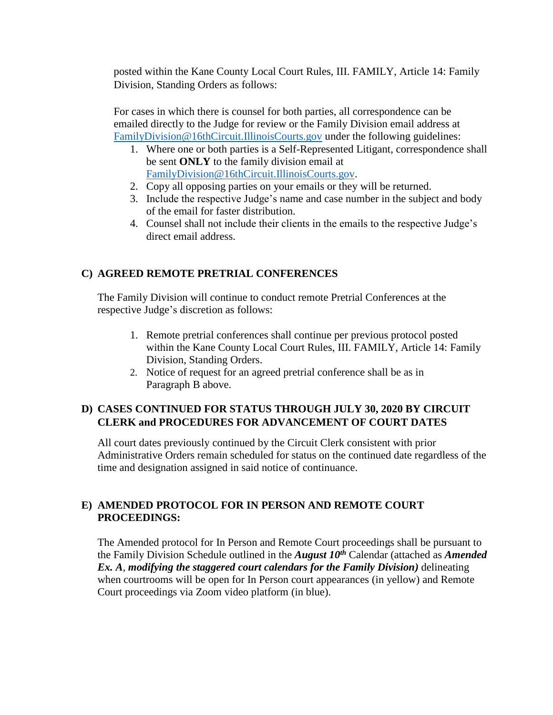posted within the Kane County Local Court Rules, III. FAMILY, Article 14: Family Division, Standing Orders as follows:

For cases in which there is counsel for both parties, all correspondence can be emailed directly to the Judge for review or the Family Division email address at [FamilyDivision@16thCircuit.IllinoisCourts.gov](mailto:FamilyDivision@16thCircuit.IllinoisCourts.gov) under the following guidelines:

- 1. Where one or both parties is a Self-Represented Litigant, correspondence shall be sent **ONLY** to the family division email at [FamilyDivision@16thCircuit.IllinoisCourts.gov.](mailto:FamilyDivision@16thCircuit.IllinoisCourts.gov)
- 2. Copy all opposing parties on your emails or they will be returned.
- 3. Include the respective Judge's name and case number in the subject and body of the email for faster distribution.
- 4. Counsel shall not include their clients in the emails to the respective Judge's direct email address.

# **C) AGREED REMOTE PRETRIAL CONFERENCES**

The Family Division will continue to conduct remote Pretrial Conferences at the respective Judge's discretion as follows:

- 1. Remote pretrial conferences shall continue per [previous protocol](http://www.illinois16thjudicialcircuit.org/Pages/Kane-County-Temporary-Protocols.aspx) posted within the Kane County Local Court Rules, III. FAMILY, Article 14: Family Division, Standing Orders.
- 2. Notice of request for an agreed pretrial conference shall be as in Paragraph B above.

# **D) CASES CONTINUED FOR STATUS THROUGH JULY 30, 2020 BY CIRCUIT CLERK and PROCEDURES FOR ADVANCEMENT OF COURT DATES**

All court dates previously continued by the Circuit Clerk consistent with prior Administrative Orders remain scheduled for status on the continued date regardless of the time and designation assigned in said notice of continuance.

# **E) AMENDED PROTOCOL FOR IN PERSON AND REMOTE COURT PROCEEDINGS:**

The Amended protocol for In Person and Remote Court proceedings shall be pursuant to the Family Division Schedule outlined in the *August 10th* Calendar (attached as *Amended Ex. A*, *modifying the staggered court calendars for the Family Division)* delineating when courtrooms will be open for In Person court appearances (in yellow) and Remote Court proceedings via Zoom video platform (in blue).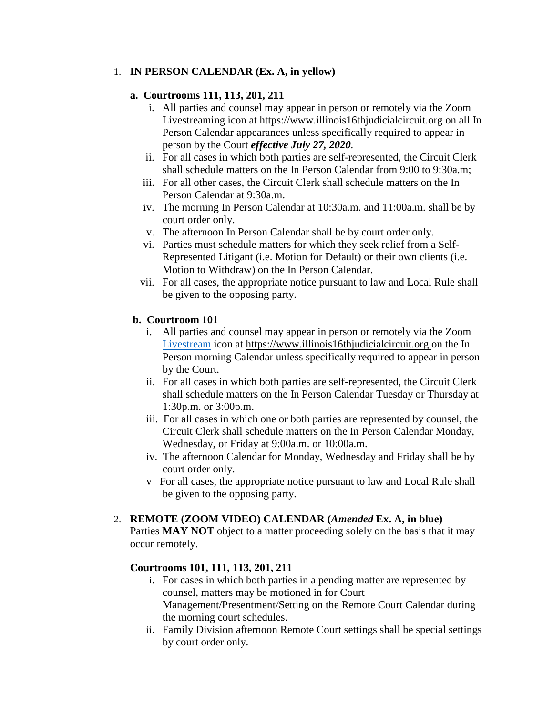### 1. **IN PERSON CALENDAR (Ex. A, in yellow)**

### **a. Courtrooms 111, 113, 201, 211**

- i. All parties and counsel may appear in person or remotely via the Zoom Livestreaming icon at [https://www.illinois16thjudicialcircuit.org](https://www.illinois16thjudicialcircuit.org/) on all In Person Calendar appearances unless specifically required to appear in person by the Court *effective July 27, 2020.*
- ii. For all cases in which both parties are self-represented, the Circuit Clerk shall schedule matters on the In Person Calendar from 9:00 to 9:30a.m;
- iii. For all other cases, the Circuit Clerk shall schedule matters on the In Person Calendar at 9:30a.m.
- iv. The morning In Person Calendar at 10:30a.m. and 11:00a.m. shall be by court order only.
- v. The afternoon In Person Calendar shall be by court order only.
- vi. Parties must schedule matters for which they seek relief from a Self-Represented Litigant (i.e. Motion for Default) or their own clients (i.e. Motion to Withdraw) on the In Person Calendar.
- vii. For all cases, the appropriate notice pursuant to law and Local Rule shall be given to the opposing party.

### **b. Courtroom 101**

- i. All parties and counsel may appear in person or remotely via the Zoom [Livestream](https://www.illinois16thjudicialcircuit.org/) icon at [https://www.illinois16thjudicialcircuit.org](https://www.illinois16thjudicialcircuit.org/) on the In Person morning Calendar unless specifically required to appear in person by the Court.
- ii. For all cases in which both parties are self-represented, the Circuit Clerk shall schedule matters on the In Person Calendar Tuesday or Thursday at 1:30p.m. or 3:00p.m.
- iii. For all cases in which one or both parties are represented by counsel, the Circuit Clerk shall schedule matters on the In Person Calendar Monday, Wednesday, or Friday at 9:00a.m. or 10:00a.m.
- iv. The afternoon Calendar for Monday, Wednesday and Friday shall be by court order only.
- v For all cases, the appropriate notice pursuant to law and Local Rule shall be given to the opposing party.

#### 2. **REMOTE (ZOOM VIDEO) CALENDAR (***Amended* **Ex. A, in blue)**

Parties **MAY NOT** object to a matter proceeding solely on the basis that it may occur remotely.

### **Courtrooms 101, 111, 113, 201, 211**

- i. For cases in which both parties in a pending matter are represented by counsel, matters may be motioned in for Court Management/Presentment/Setting on the Remote Court Calendar during the morning court schedules.
- ii. Family Division afternoon Remote Court settings shall be special settings by court order only.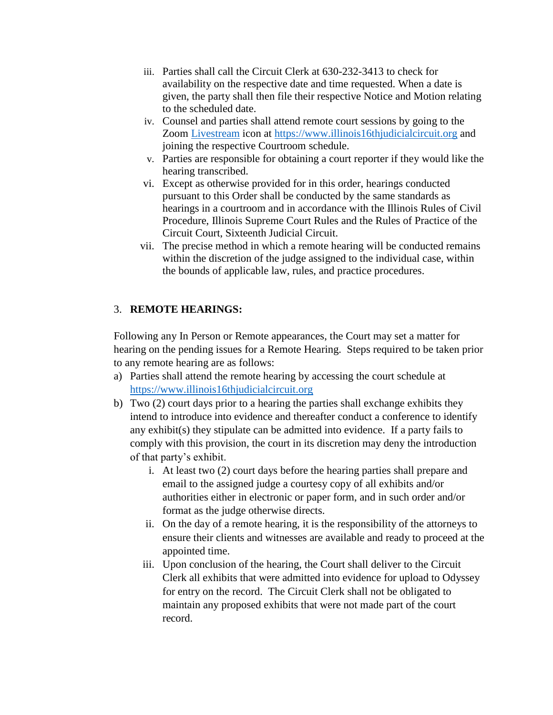- iii. Parties shall call the Circuit Clerk at 630-232-3413 to check for availability on the respective date and time requested. When a date is given, the party shall then file their respective Notice and Motion relating to the scheduled date.
- iv. Counsel and parties shall attend remote court sessions by going to the Zoom [Livestream](https://www.illinois16thjudicialcircuit.org/) icon at [https://www.illinois16thjudicialcircuit.org](https://www.illinois16thjudicialcircuit.org/) and joining the respective Courtroom schedule.
- v. Parties are responsible for obtaining a court reporter if they would like the hearing transcribed.
- vi. Except as otherwise provided for in this order, hearings conducted pursuant to this Order shall be conducted by the same standards as hearings in a courtroom and in accordance with the Illinois Rules of Civil Procedure, Illinois Supreme Court Rules and the Rules of Practice of the Circuit Court, Sixteenth Judicial Circuit.
- vii. The precise method in which a remote hearing will be conducted remains within the discretion of the judge assigned to the individual case, within the bounds of applicable law, rules, and practice procedures.

### 3. **REMOTE HEARINGS:**

Following any In Person or Remote appearances, the Court may set a matter for hearing on the pending issues for a Remote Hearing. Steps required to be taken prior to any remote hearing are as follows:

- a) Parties shall attend the remote hearing by accessing the court schedule at [https://www.illinois16thjudicialcircuit.org](https://www.illinois16thjudicialcircuit.org/)
- b) Two (2) court days prior to a hearing the parties shall exchange exhibits they intend to introduce into evidence and thereafter conduct a conference to identify any exhibit(s) they stipulate can be admitted into evidence. If a party fails to comply with this provision, the court in its discretion may deny the introduction of that party's exhibit.
	- i. At least two (2) court days before the hearing parties shall prepare and email to the assigned judge a courtesy copy of all exhibits and/or authorities either in electronic or paper form, and in such order and/or format as the judge otherwise directs.
	- ii. On the day of a remote hearing, it is the responsibility of the attorneys to ensure their clients and witnesses are available and ready to proceed at the appointed time.
	- iii. Upon conclusion of the hearing, the Court shall deliver to the Circuit Clerk all exhibits that were admitted into evidence for upload to Odyssey for entry on the record. The Circuit Clerk shall not be obligated to maintain any proposed exhibits that were not made part of the court record.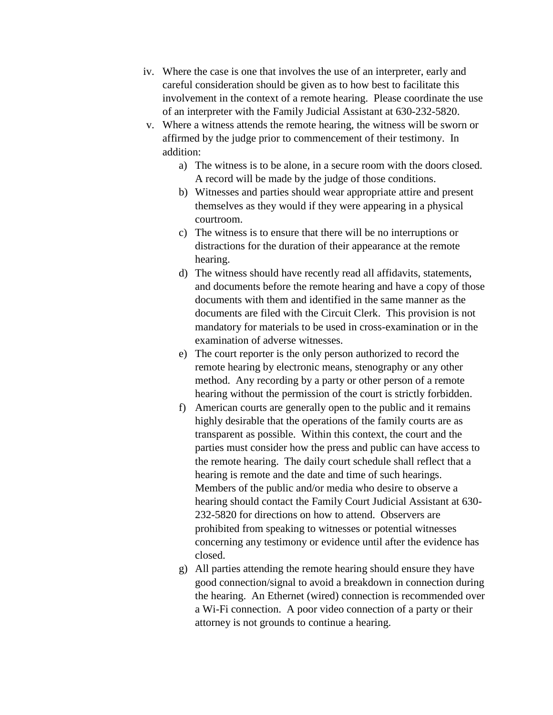- iv. Where the case is one that involves the use of an interpreter, early and careful consideration should be given as to how best to facilitate this involvement in the context of a remote hearing. Please coordinate the use of an interpreter with the Family Judicial Assistant at 630-232-5820.
- v. Where a witness attends the remote hearing, the witness will be sworn or affirmed by the judge prior to commencement of their testimony. In addition:
	- a) The witness is to be alone, in a secure room with the doors closed. A record will be made by the judge of those conditions.
	- b) Witnesses and parties should wear appropriate attire and present themselves as they would if they were appearing in a physical courtroom.
	- c) The witness is to ensure that there will be no interruptions or distractions for the duration of their appearance at the remote hearing.
	- d) The witness should have recently read all affidavits, statements, and documents before the remote hearing and have a copy of those documents with them and identified in the same manner as the documents are filed with the Circuit Clerk. This provision is not mandatory for materials to be used in cross-examination or in the examination of adverse witnesses.
	- e) The court reporter is the only person authorized to record the remote hearing by electronic means, stenography or any other method. Any recording by a party or other person of a remote hearing without the permission of the court is strictly forbidden.
	- f) American courts are generally open to the public and it remains highly desirable that the operations of the family courts are as transparent as possible. Within this context, the court and the parties must consider how the press and public can have access to the remote hearing. The daily court schedule shall reflect that a hearing is remote and the date and time of such hearings. Members of the public and/or media who desire to observe a hearing should contact the Family Court Judicial Assistant at 630- 232-5820 for directions on how to attend. Observers are prohibited from speaking to witnesses or potential witnesses concerning any testimony or evidence until after the evidence has closed.
	- g) All parties attending the remote hearing should ensure they have good connection/signal to avoid a breakdown in connection during the hearing. An Ethernet (wired) connection is recommended over a Wi-Fi connection. A poor video connection of a party or their attorney is not grounds to continue a hearing.